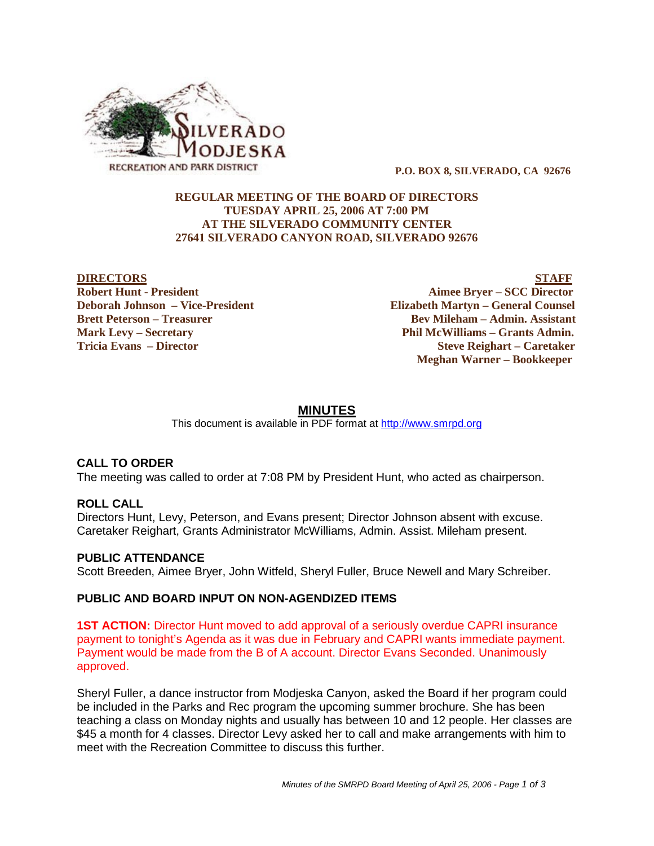

 **P.O. BOX 8, SILVERADO, CA 92676**

## **REGULAR MEETING OF THE BOARD OF DIRECTORS TUESDAY APRIL 25, 2006 AT 7:00 PM AT THE SILVERADO COMMUNITY CENTER 27641 SILVERADO CANYON ROAD, SILVERADO 92676**

**DIRECTORS STAFF Robert Hunt - President Aimee Bryer – SCC Director Deborah Johnson – Vice-President Elizabeth Martyn – General Counsel Brett Peterson – Treasurer States and Bev Mileham – Admin. Assistant Mark Levy – Secretary Phil McWilliams – Grants Admin. Tricia Evans – Director Steve Reighart – Caretaker Meghan Warner – Bookkeeper**

# **MINUTES**

This document is available in PDF format at http://www.smrpd.org

# **CALL TO ORDER**

The meeting was called to order at 7:08 PM by President Hunt, who acted as chairperson.

### **ROLL CALL**

Directors Hunt, Levy, Peterson, and Evans present; Director Johnson absent with excuse. Caretaker Reighart, Grants Administrator McWilliams, Admin. Assist. Mileham present.

### **PUBLIC ATTENDANCE**

Scott Breeden, Aimee Bryer, John Witfeld, Sheryl Fuller, Bruce Newell and Mary Schreiber.

### **PUBLIC AND BOARD INPUT ON NON-AGENDIZED ITEMS**

**1ST ACTION:** Director Hunt moved to add approval of a seriously overdue CAPRI insurance payment to tonight's Agenda as it was due in February and CAPRI wants immediate payment. Payment would be made from the B of A account. Director Evans Seconded. Unanimously approved.

Sheryl Fuller, a dance instructor from Modjeska Canyon, asked the Board if her program could be included in the Parks and Rec program the upcoming summer brochure. She has been teaching a class on Monday nights and usually has between 10 and 12 people. Her classes are \$45 a month for 4 classes. Director Levy asked her to call and make arrangements with him to meet with the Recreation Committee to discuss this further.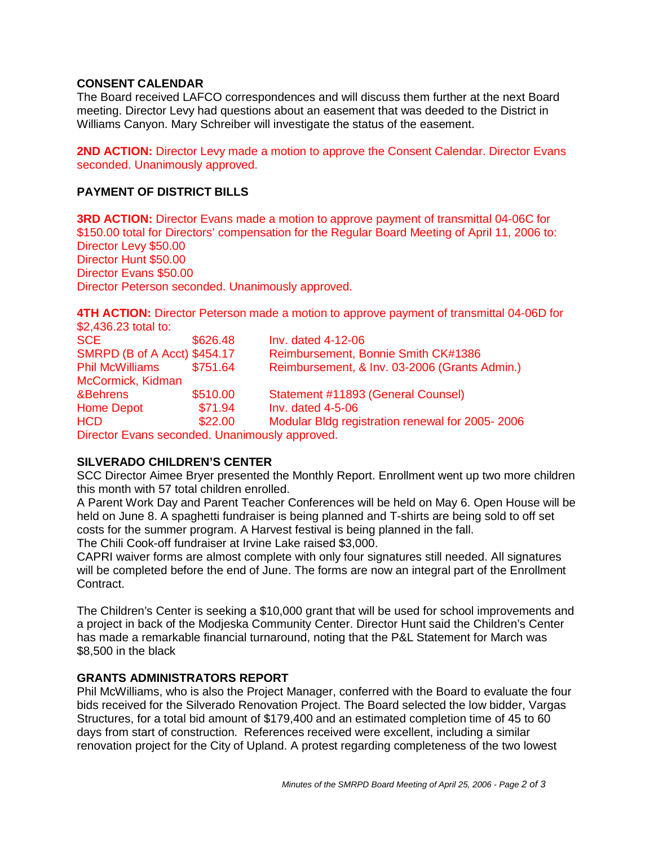## **CONSENT CALENDAR**

The Board received LAFCO correspondences and will discuss them further at the next Board meeting. Director Levy had questions about an easement that was deeded to the District in Williams Canyon. Mary Schreiber will investigate the status of the easement.

**2ND ACTION:** Director Levy made a motion to approve the Consent Calendar. Director Evans seconded. Unanimously approved.

## **PAYMENT OF DISTRICT BILLS**

**3RD ACTION:** Director Evans made a motion to approve payment of transmittal 04-06C for \$150.00 total for Directors' compensation for the Regular Board Meeting of April 11, 2006 to: Director Levy \$50.00 Director Hunt \$50.00 Director Evans \$50.00 Director Peterson seconded. Unanimously approved.

**4TH ACTION:** Director Peterson made a motion to approve payment of transmittal 04-06D for \$2,436.23 total to:

| <b>SCE</b>                          | \$626.48 | Inv. dated 4-12-06                              |
|-------------------------------------|----------|-------------------------------------------------|
| <b>SMRPD (B of A Acct) \$454.17</b> |          | Reimbursement, Bonnie Smith CK#1386             |
| <b>Phil McWilliams</b>              | \$751.64 | Reimbursement, & Inv. 03-2006 (Grants Admin.)   |
| McCormick, Kidman                   |          |                                                 |
| &Behrens                            | \$510.00 | Statement #11893 (General Counsel)              |
| <b>Home Depot</b>                   | \$71.94  | Inv. dated $4-5-06$                             |
| <b>HCD</b>                          | \$22.00  | Modular Bldg registration renewal for 2005-2006 |
|                                     |          |                                                 |

Director Evans seconded. Unanimously approved.

# **SILVERADO CHILDREN'S CENTER**

SCC Director Aimee Bryer presented the Monthly Report. Enrollment went up two more children this month with 57 total children enrolled.

A Parent Work Day and Parent Teacher Conferences will be held on May 6. Open House will be held on June 8. A spaghetti fundraiser is being planned and T-shirts are being sold to off set costs for the summer program. A Harvest festival is being planned in the fall. The Chili Cook-off fundraiser at Irvine Lake raised \$3,000.

CAPRI waiver forms are almost complete with only four signatures still needed. All signatures will be completed before the end of June. The forms are now an integral part of the Enrollment Contract.

The Children's Center is seeking a \$10,000 grant that will be used for school improvements and a project in back of the Modjeska Community Center. Director Hunt said the Children's Center has made a remarkable financial turnaround, noting that the P&L Statement for March was \$8,500 in the black

### **GRANTS ADMINISTRATORS REPORT**

Phil McWilliams, who is also the Project Manager, conferred with the Board to evaluate the four bids received for the Silverado Renovation Project. The Board selected the low bidder, Vargas Structures, for a total bid amount of \$179,400 and an estimated completion time of 45 to 60 days from start of construction. References received were excellent, including a similar renovation project for the City of Upland. A protest regarding completeness of the two lowest